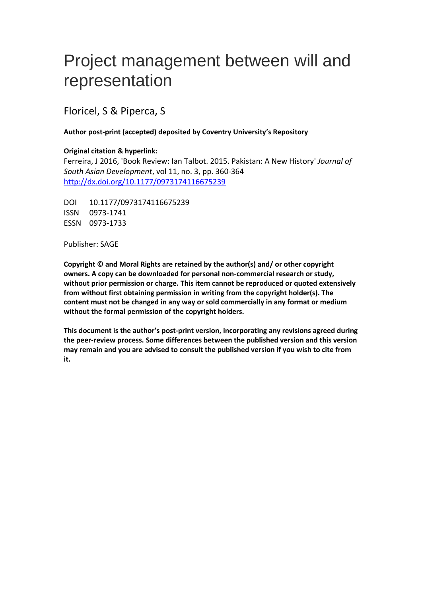## Project management between will and representation

Floricel, S & Piperca, S

## **Author post-print (accepted) deposited by Coventry University's Repository**

## **Original citation & hyperlink:**

Ferreira, J 2016, 'Book Review: Ian Talbot. 2015. Pakistan: A New History' *Journal of South Asian Development*, vol 11, no. 3, pp. 360-364 <http://dx.doi.org/10.1177/0973174116675239>

DOI 10.1177/0973174116675239 ISSN 0973-1741 ESSN 0973-1733

Publisher: SAGE

**Copyright © and Moral Rights are retained by the author(s) and/ or other copyright owners. A copy can be downloaded for personal non-commercial research or study, without prior permission or charge. This item cannot be reproduced or quoted extensively from without first obtaining permission in writing from the copyright holder(s). The content must not be changed in any way or sold commercially in any format or medium without the formal permission of the copyright holders.** 

**This document is the author's post-print version, incorporating any revisions agreed during the peer-review process. Some differences between the published version and this version may remain and you are advised to consult the published version if you wish to cite from it.**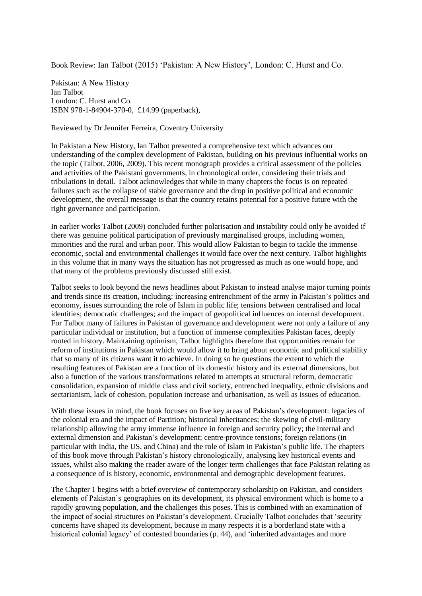Book Review: Ian Talbot (2015) 'Pakistan: A New History', London: C. Hurst and Co.

Pakistan: A New History Ian Talbot London: C. Hurst and Co. ISBN 978-1-84904-370-0, £14.99 (paperback),

Reviewed by Dr Jennifer Ferreira, Coventry University

In Pakistan a New History, Ian Talbot presented a comprehensive text which advances our understanding of the complex development of Pakistan, building on his previous influential works on the topic (Talbot, 2006, 2009). This recent monograph provides a critical assessment of the policies and activities of the Pakistani governments, in chronological order, considering their trials and tribulations in detail. Talbot acknowledges that while in many chapters the focus is on repeated failures such as the collapse of stable governance and the drop in positive political and economic development, the overall message is that the country retains potential for a positive future with the right governance and participation.

In earlier works Talbot (2009) concluded further polarisation and instability could only be avoided if there was genuine political participation of previously marginalised groups, including women, minorities and the rural and urban poor. This would allow Pakistan to begin to tackle the immense economic, social and environmental challenges it would face over the next century. Talbot highlights in this volume that in many ways the situation has not progressed as much as one would hope, and that many of the problems previously discussed still exist.

Talbot seeks to look beyond the news headlines about Pakistan to instead analyse major turning points and trends since its creation, including: increasing entrenchment of the army in Pakistan's politics and economy, issues surrounding the role of Islam in public life; tensions between centralised and local identities; democratic challenges; and the impact of geopolitical influences on internal development. For Talbot many of failures in Pakistan of governance and development were not only a failure of any particular individual or institution, but a function of immense complexities Pakistan faces, deeply rooted in history. Maintaining optimism, Talbot highlights therefore that opportunities remain for reform of institutions in Pakistan which would allow it to bring about economic and political stability that so many of its citizens want it to achieve. In doing so he questions the extent to which the resulting features of Pakistan are a function of its domestic history and its external dimensions, but also a function of the various transformations related to attempts at structural reform, democratic consolidation, expansion of middle class and civil society, entrenched inequality, ethnic divisions and sectarianism, lack of cohesion, population increase and urbanisation, as well as issues of education.

With these issues in mind, the book focuses on five key areas of Pakistan's development: legacies of the colonial era and the impact of Partition; historical inheritances; the skewing of civil-military relationship allowing the army immense influence in foreign and security policy; the internal and external dimension and Pakistan's development; centre-province tensions; foreign relations (in particular with India, the US, and China) and the role of Islam in Pakistan's public life. The chapters of this book move through Pakistan's history chronologically, analysing key historical events and issues, whilst also making the reader aware of the longer term challenges that face Pakistan relating as a consequence of is history, economic, environmental and demographic development features.

The Chapter 1 begins with a brief overview of contemporary scholarship on Pakistan, and considers elements of Pakistan's geographies on its development, its physical environment which is home to a rapidly growing population, and the challenges this poses. This is combined with an examination of the impact of social structures on Pakistan's development. Crucially Talbot concludes that 'security concerns have shaped its development, because in many respects it is a borderland state with a historical colonial legacy' of contested boundaries (p. 44), and 'inherited advantages and more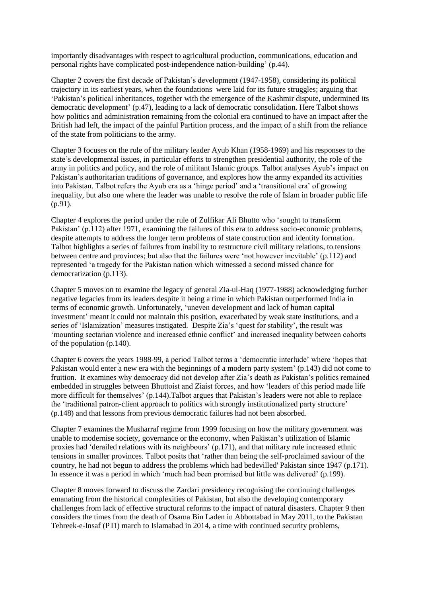importantly disadvantages with respect to agricultural production, communications, education and personal rights have complicated post-independence nation-building' (p.44).

Chapter 2 covers the first decade of Pakistan's development (1947-1958), considering its political trajectory in its earliest years, when the foundations were laid for its future struggles; arguing that 'Pakistan's political inheritances, together with the emergence of the Kashmir dispute, undermined its democratic development' (p.47), leading to a lack of democratic consolidation. Here Talbot shows how politics and administration remaining from the colonial era continued to have an impact after the British had left, the impact of the painful Partition process, and the impact of a shift from the reliance of the state from politicians to the army.

Chapter 3 focuses on the rule of the military leader Ayub Khan (1958-1969) and his responses to the state's developmental issues, in particular efforts to strengthen presidential authority, the role of the army in politics and policy, and the role of militant Islamic groups. Talbot analyses Ayub's impact on Pakistan's authoritarian traditions of governance, and explores how the army expanded its activities into Pakistan. Talbot refers the Ayub era as a 'hinge period' and a 'transitional era' of growing inequality, but also one where the leader was unable to resolve the role of Islam in broader public life (p.91).

Chapter 4 explores the period under the rule of Zulfikar Ali Bhutto who 'sought to transform Pakistan' (p.112) after 1971, examining the failures of this era to address socio-economic problems, despite attempts to address the longer term problems of state construction and identity formation. Talbot highlights a series of failures from inability to restructure civil military relations, to tensions between centre and provinces; but also that the failures were 'not however inevitable' (p.112) and represented 'a tragedy for the Pakistan nation which witnessed a second missed chance for democratization (p.113).

Chapter 5 moves on to examine the legacy of general Zia-ul-Haq (1977-1988) acknowledging further negative legacies from its leaders despite it being a time in which Pakistan outperformed India in terms of economic growth. Unfortunately, 'uneven development and lack of human capital investment' meant it could not maintain this position, exacerbated by weak state institutions, and a series of 'Islamization' measures instigated. Despite Zia's 'quest for stability', the result was 'mounting sectarian violence and increased ethnic conflict' and increased inequality between cohorts of the population (p.140).

Chapter 6 covers the years 1988-99, a period Talbot terms a 'democratic interlude' where 'hopes that Pakistan would enter a new era with the beginnings of a modern party system' (p.143) did not come to fruition. It examines why democracy did not develop after Zia's death as Pakistan's politics remained embedded in struggles between Bhuttoist and Ziaist forces, and how 'leaders of this period made life more difficult for themselves' (p.144).Talbot argues that Pakistan's leaders were not able to replace the 'traditional patron-client approach to politics with strongly institutionalized party structure' (p.148) and that lessons from previous democratic failures had not been absorbed.

Chapter 7 examines the Musharraf regime from 1999 focusing on how the military government was unable to modernise society, governance or the economy, when Pakistan's utilization of Islamic proxies had 'derailed relations with its neighbours' (p.171), and that military rule increased ethnic tensions in smaller provinces. Talbot posits that 'rather than being the self-proclaimed saviour of the country, he had not begun to address the problems which had bedevilled' Pakistan since 1947 (p.171). In essence it was a period in which 'much had been promised but little was delivered' (p.199).

Chapter 8 moves forward to discuss the Zardari presidency recognising the continuing challenges emanating from the historical complexities of Pakistan, but also the developing contemporary challenges from lack of effective structural reforms to the impact of natural disasters. Chapter 9 then considers the times from the death of Osama Bin Laden in Abbottabad in May 2011, to the Pakistan Tehreek-e-Insaf (PTI) march to Islamabad in 2014, a time with continued security problems,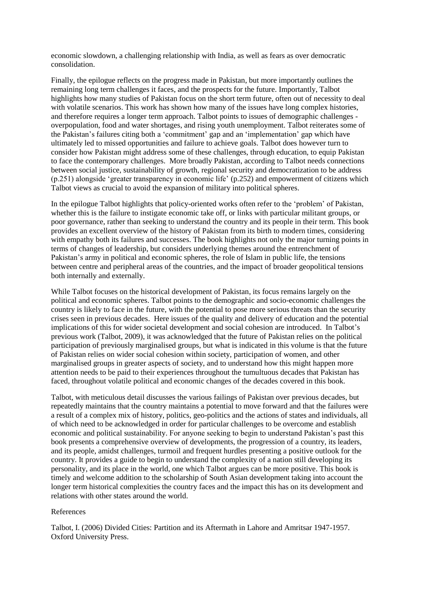economic slowdown, a challenging relationship with India, as well as fears as over democratic consolidation.

Finally, the epilogue reflects on the progress made in Pakistan, but more importantly outlines the remaining long term challenges it faces, and the prospects for the future. Importantly, Talbot highlights how many studies of Pakistan focus on the short term future, often out of necessity to deal with volatile scenarios. This work has shown how many of the issues have long complex histories, and therefore requires a longer term approach. Talbot points to issues of demographic challenges overpopulation, food and water shortages, and rising youth unemployment. Talbot reiterates some of the Pakistan's failures citing both a 'commitment' gap and an 'implementation' gap which have ultimately led to missed opportunities and failure to achieve goals. Talbot does however turn to consider how Pakistan might address some of these challenges, through education, to equip Pakistan to face the contemporary challenges. More broadly Pakistan, according to Talbot needs connections between social justice, sustainability of growth, regional security and democratization to be address (p.251) alongside 'greater transparency in economic life' (p.252) and empowerment of citizens which Talbot views as crucial to avoid the expansion of military into political spheres.

In the epilogue Talbot highlights that policy-oriented works often refer to the 'problem' of Pakistan, whether this is the failure to instigate economic take off, or links with particular militant groups, or poor governance, rather than seeking to understand the country and its people in their term. This book provides an excellent overview of the history of Pakistan from its birth to modern times, considering with empathy both its failures and successes. The book highlights not only the major turning points in terms of changes of leadership, but considers underlying themes around the entrenchment of Pakistan's army in political and economic spheres, the role of Islam in public life, the tensions between centre and peripheral areas of the countries, and the impact of broader geopolitical tensions both internally and externally.

While Talbot focuses on the historical development of Pakistan, its focus remains largely on the political and economic spheres. Talbot points to the demographic and socio-economic challenges the country is likely to face in the future, with the potential to pose more serious threats than the security crises seen in previous decades. Here issues of the quality and delivery of education and the potential implications of this for wider societal development and social cohesion are introduced. In Talbot's previous work (Talbot, 2009), it was acknowledged that the future of Pakistan relies on the political participation of previously marginalised groups, but what is indicated in this volume is that the future of Pakistan relies on wider social cohesion within society, participation of women, and other marginalised groups in greater aspects of society, and to understand how this might happen more attention needs to be paid to their experiences throughout the tumultuous decades that Pakistan has faced, throughout volatile political and economic changes of the decades covered in this book.

Talbot, with meticulous detail discusses the various failings of Pakistan over previous decades, but repeatedly maintains that the country maintains a potential to move forward and that the failures were a result of a complex mix of history, politics, geo-politics and the actions of states and individuals, all of which need to be acknowledged in order for particular challenges to be overcome and establish economic and political sustainability. For anyone seeking to begin to understand Pakistan's past this book presents a comprehensive overview of developments, the progression of a country, its leaders, and its people, amidst challenges, turmoil and frequent hurdles presenting a positive outlook for the country. It provides a guide to begin to understand the complexity of a nation still developing its personality, and its place in the world, one which Talbot argues can be more positive. This book is timely and welcome addition to the scholarship of South Asian development taking into account the longer term historical complexities the country faces and the impact this has on its development and relations with other states around the world.

## References

Talbot, I. (2006) Divided Cities: Partition and its Aftermath in Lahore and Amritsar 1947-1957. Oxford University Press.